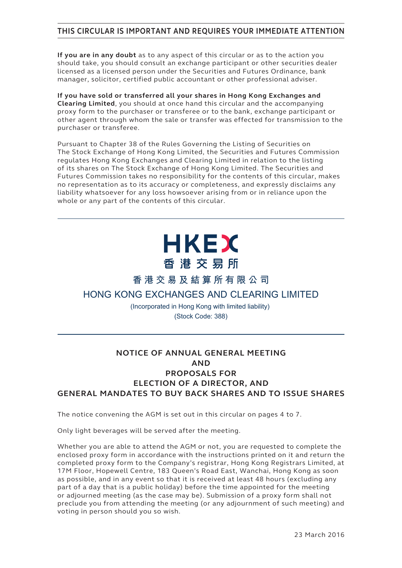# **THIS CIRCULAR IS IMPORTANT AND REQUIRES YOUR IMMEDIATE ATTENTION**

**If you are in any doubt** as to any aspect of this circular or as to the action you should take, you should consult an exchange participant or other securities dealer licensed as a licensed person under the Securities and Futures Ordinance, bank manager, solicitor, certified public accountant or other professional adviser.

**If you have sold or transferred all your shares in Hong Kong Exchanges and Clearing Limited**, you should at once hand this circular and the accompanying proxy form to the purchaser or transferee or to the bank, exchange participant or other agent through whom the sale or transfer was effected for transmission to the purchaser or transferee.

Pursuant to Chapter 38 of the Rules Governing the Listing of Securities on The Stock Exchange of Hong Kong Limited, the Securities and Futures Commission regulates Hong Kong Exchanges and Clearing Limited in relation to the listing of its shares on The Stock Exchange of Hong Kong Limited. The Securities and Futures Commission takes no responsibility for the contents of this circular, makes no representation as to its accuracy or completeness, and expressly disclaims any liability whatsoever for any loss howsoever arising from or in reliance upon the whole or any part of the contents of this circular.

# **HKEX** 香港交易所

**香港交易及結算所有限公司**

# **HONG KONG EXCHANGES AND CLEARING LIMITED**

(Incorporated in Hong Kong with limited liability) (Stock Code: 388)

# **NOTICE OF ANNUAL GENERAL MEETING AND PROPOSALS FOR ELECTION OF A DIRECTOR, AND GENERAL MANDATES TO BUY BACK SHARES AND TO ISSUE SHARES**

The notice convening the AGM is set out in this circular on pages 4 to 7.

Only light beverages will be served after the meeting.

Whether you are able to attend the AGM or not, you are requested to complete the enclosed proxy form in accordance with the instructions printed on it and return the completed proxy form to the Company's registrar, Hong Kong Registrars Limited, at 17M Floor, Hopewell Centre, 183 Queen's Road East, Wanchai, Hong Kong as soon as possible, and in any event so that it is received at least 48 hours (excluding any part of a day that is a public holiday) before the time appointed for the meeting or adjourned meeting (as the case may be). Submission of a proxy form shall not preclude you from attending the meeting (or any adjournment of such meeting) and voting in person should you so wish.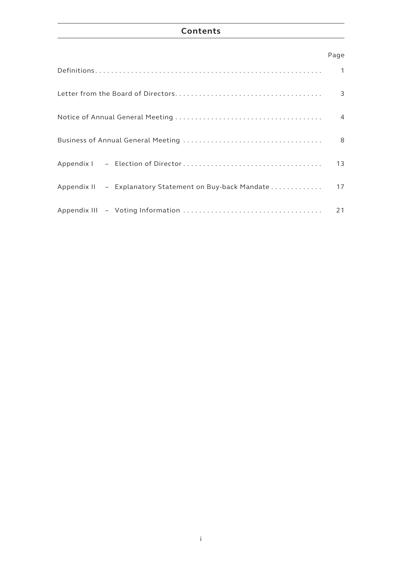# **Contents**

# Page

|                                                         | $\mathbf{1}$   |
|---------------------------------------------------------|----------------|
|                                                         | 3              |
|                                                         | $\overline{4}$ |
|                                                         | 8              |
|                                                         | 13             |
| Appendix II - Explanatory Statement on Buy-back Mandate | 17             |
|                                                         | 21             |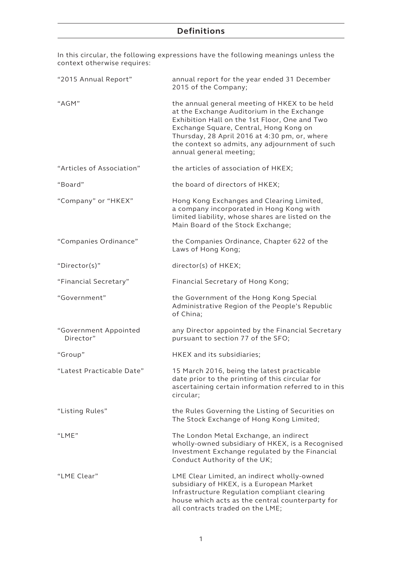# **Definitions**

In this circular, the following expressions have the following meanings unless the context otherwise requires:

| "2015 Annual Report"               | annual report for the year ended 31 December<br>2015 of the Company;                                                                                                                                                                                                                                                 |  |  |
|------------------------------------|----------------------------------------------------------------------------------------------------------------------------------------------------------------------------------------------------------------------------------------------------------------------------------------------------------------------|--|--|
| "AGM"                              | the annual general meeting of HKEX to be held<br>at the Exchange Auditorium in the Exchange<br>Exhibition Hall on the 1st Floor, One and Two<br>Exchange Square, Central, Hong Kong on<br>Thursday, 28 April 2016 at 4:30 pm, or, where<br>the context so admits, any adjournment of such<br>annual general meeting; |  |  |
| "Articles of Association"          | the articles of association of HKEX;                                                                                                                                                                                                                                                                                 |  |  |
| "Board"                            | the board of directors of HKEX;                                                                                                                                                                                                                                                                                      |  |  |
| "Company" or "HKEX"                | Hong Kong Exchanges and Clearing Limited,<br>a company incorporated in Hong Kong with<br>limited liability, whose shares are listed on the<br>Main Board of the Stock Exchange;                                                                                                                                      |  |  |
| "Companies Ordinance"              | the Companies Ordinance, Chapter 622 of the<br>Laws of Hong Kong;                                                                                                                                                                                                                                                    |  |  |
| "Director(s)"                      | director(s) of HKEX;                                                                                                                                                                                                                                                                                                 |  |  |
| "Financial Secretary"              | Financial Secretary of Hong Kong;                                                                                                                                                                                                                                                                                    |  |  |
| "Government"                       | the Government of the Hong Kong Special<br>Administrative Region of the People's Republic<br>of China;                                                                                                                                                                                                               |  |  |
| "Government Appointed<br>Director" | any Director appointed by the Financial Secretary<br>pursuant to section 77 of the SFO;                                                                                                                                                                                                                              |  |  |
| "Group"                            | HKEX and its subsidiaries;                                                                                                                                                                                                                                                                                           |  |  |
| "Latest Practicable Date"          | 15 March 2016, being the latest practicable<br>date prior to the printing of this circular for<br>ascertaining certain information referred to in this<br>circular;                                                                                                                                                  |  |  |
| "Listing Rules"                    | the Rules Governing the Listing of Securities on<br>The Stock Exchange of Hong Kong Limited;                                                                                                                                                                                                                         |  |  |
| "I MF"                             | The London Metal Exchange, an indirect<br>wholly-owned subsidiary of HKEX, is a Recognised<br>Investment Exchange regulated by the Financial<br>Conduct Authority of the UK;                                                                                                                                         |  |  |
| "LME Clear"                        | LME Clear Limited, an indirect wholly-owned<br>subsidiary of HKEX, is a European Market<br>Infrastructure Regulation compliant clearing<br>house which acts as the central counterparty for<br>all contracts traded on the LME;                                                                                      |  |  |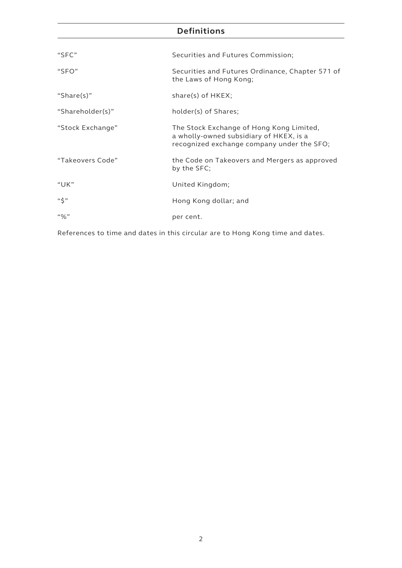# **Definitions**

| "SFC"            | Securities and Futures Commission;                                                                                                |
|------------------|-----------------------------------------------------------------------------------------------------------------------------------|
| "SFO"            | Securities and Futures Ordinance, Chapter 571 of<br>the Laws of Hong Kong;                                                        |
| "Share(s)"       | $share(s)$ of $HKEY;$                                                                                                             |
| "Shareholder(s)" | holder(s) of Shares;                                                                                                              |
| "Stock Exchange" | The Stock Exchange of Hong Kong Limited,<br>a wholly-owned subsidiary of HKEX, is a<br>recognized exchange company under the SFO; |
| "Takeovers Code" | the Code on Takeovers and Mergers as approved<br>by the SFC;                                                                      |
| "UK"             | United Kingdom;                                                                                                                   |
| "\$"             | Hong Kong dollar; and                                                                                                             |
| $``\%"$          | per cent.                                                                                                                         |

References to time and dates in this circular are to Hong Kong time and dates.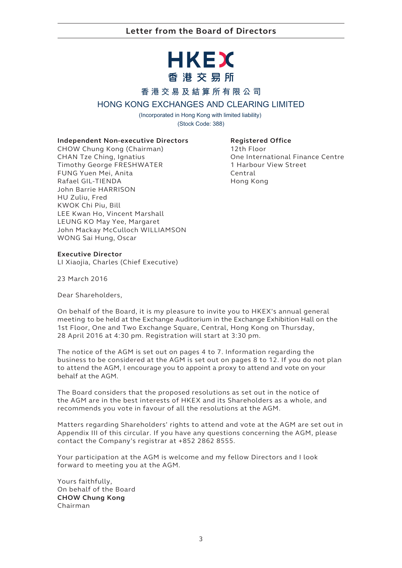# HKEX 香港交易所

# **香港交易及結算所有限公司**

## **HONG KONG EXCHANGES AND CLEARING LIMITED**

(Incorporated in Hong Kong with limited liability) (Stock Code: 388)

#### **Independent Non-executive Directors**

CHOW Chung Kong (Chairman) CHAN Tze Ching, Ignatius Timothy George FRESHWATER FUNG Yuen Mei, Anita Rafael GIL-TIENDA John Barrie HARRISON HU Zuliu, Fred KWOK Chi Piu, Bill LEE Kwan Ho, Vincent Marshall LEUNG KO May Yee, Margaret John Mackay McCulloch WILLIAMSON WONG Sai Hung, Oscar

#### **Registered Office**

12th Floor One International Finance Centre 1 Harbour View Street Central Hong Kong

#### **Executive Director**

LI Xiaojia, Charles (Chief Executive)

23 March 2016

Dear Shareholders,

On behalf of the Board, it is my pleasure to invite you to HKEX's annual general meeting to be held at the Exchange Auditorium in the Exchange Exhibition Hall on the 1st Floor, One and Two Exchange Square, Central, Hong Kong on Thursday, 28 April 2016 at 4:30 pm. Registration will start at 3:30 pm.

The notice of the AGM is set out on pages 4 to 7. Information regarding the business to be considered at the AGM is set out on pages 8 to 12. If you do not plan to attend the AGM, I encourage you to appoint a proxy to attend and vote on your behalf at the AGM.

The Board considers that the proposed resolutions as set out in the notice of the AGM are in the best interests of HKEX and its Shareholders as a whole, and recommends you vote in favour of all the resolutions at the AGM.

Matters regarding Shareholders' rights to attend and vote at the AGM are set out in Appendix III of this circular. If you have any questions concerning the AGM, please contact the Company's registrar at +852 2862 8555.

Your participation at the AGM is welcome and my fellow Directors and I look forward to meeting you at the AGM.

Yours faithfully, On behalf of the Board **CHOW Chung Kong** Chairman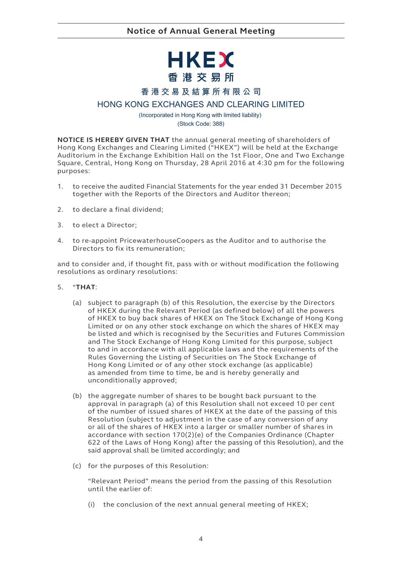# HKEX 香港交易所

## **香港交易及結算所有限公司**

## **HONG KONG EXCHANGES AND CLEARING LIMITED**

(Incorporated in Hong Kong with limited liability) (Stock Code: 388)

**NOTICE IS HEREBY GIVEN THAT** the annual general meeting of shareholders of Hong Kong Exchanges and Clearing Limited ("HKEX") will be held at the Exchange Auditorium in the Exchange Exhibition Hall on the 1st Floor, One and Two Exchange Square, Central, Hong Kong on Thursday, 28 April 2016 at 4:30 pm for the following purposes:

- 1. to receive the audited Financial Statements for the year ended 31 December 2015 together with the Reports of the Directors and Auditor thereon;
- 2. to declare a final dividend;
- 3. to elect a Director;
- 4. to re-appoint PricewaterhouseCoopers as the Auditor and to authorise the Directors to fix its remuneration;

and to consider and, if thought fit, pass with or without modification the following resolutions as ordinary resolutions:

- 5. "**THAT**:
	- (a) subject to paragraph (b) of this Resolution, the exercise by the Directors of HKEX during the Relevant Period (as defined below) of all the powers of HKEX to buy back shares of HKEX on The Stock Exchange of Hong Kong Limited or on any other stock exchange on which the shares of HKEX may be listed and which is recognised by the Securities and Futures Commission and The Stock Exchange of Hong Kong Limited for this purpose, subject to and in accordance with all applicable laws and the requirements of the Rules Governing the Listing of Securities on The Stock Exchange of Hong Kong Limited or of any other stock exchange (as applicable) as amended from time to time, be and is hereby generally and unconditionally approved;
	- (b) the aggregate number of shares to be bought back pursuant to the approval in paragraph (a) of this Resolution shall not exceed 10 per cent of the number of issued shares of HKEX at the date of the passing of this Resolution (subject to adjustment in the case of any conversion of any or all of the shares of HKEX into a larger or smaller number of shares in accordance with section 170(2)(e) of the Companies Ordinance (Chapter 622 of the Laws of Hong Kong) after the passing of this Resolution), and the said approval shall be limited accordingly; and
	- (c) for the purposes of this Resolution:

"Relevant Period" means the period from the passing of this Resolution until the earlier of:

(i) the conclusion of the next annual general meeting of HKEX;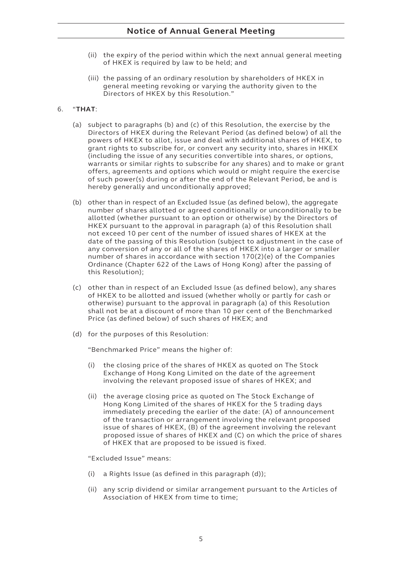# **Notice of Annual General Meeting**

- (ii) the expiry of the period within which the next annual general meeting of HKEX is required by law to be held; and
- (iii) the passing of an ordinary resolution by shareholders of HKEX in general meeting revoking or varying the authority given to the Directors of HKEX by this Resolution."

#### 6. "**THAT**:

- (a) subject to paragraphs (b) and (c) of this Resolution, the exercise by the Directors of HKEX during the Relevant Period (as defined below) of all the powers of HKEX to allot, issue and deal with additional shares of HKEX, to grant rights to subscribe for, or convert any security into, shares in HKEX (including the issue of any securities convertible into shares, or options, warrants or similar rights to subscribe for any shares) and to make or grant offers, agreements and options which would or might require the exercise of such power(s) during or after the end of the Relevant Period, be and is hereby generally and unconditionally approved;
- (b) other than in respect of an Excluded Issue (as defined below), the aggregate number of shares allotted or agreed conditionally or unconditionally to be allotted (whether pursuant to an option or otherwise) by the Directors of HKEX pursuant to the approval in paragraph (a) of this Resolution shall not exceed 10 per cent of the number of issued shares of HKEX at the date of the passing of this Resolution (subject to adjustment in the case of any conversion of any or all of the shares of HKEX into a larger or smaller number of shares in accordance with section 170(2)(e) of the Companies Ordinance (Chapter 622 of the Laws of Hong Kong) after the passing of this Resolution);
- (c) other than in respect of an Excluded Issue (as defined below), any shares of HKEX to be allotted and issued (whether wholly or partly for cash or otherwise) pursuant to the approval in paragraph (a) of this Resolution shall not be at a discount of more than 10 per cent of the Benchmarked Price (as defined below) of such shares of HKEX; and
- (d) for the purposes of this Resolution:

"Benchmarked Price" means the higher of:

- (i) the closing price of the shares of HKEX as quoted on The Stock Exchange of Hong Kong Limited on the date of the agreement involving the relevant proposed issue of shares of HKEX; and
- (ii) the average closing price as quoted on The Stock Exchange of Hong Kong Limited of the shares of HKEX for the 5 trading days immediately preceding the earlier of the date: (A) of announcement of the transaction or arrangement involving the relevant proposed issue of shares of HKEX, (B) of the agreement involving the relevant proposed issue of shares of HKEX and (C) on which the price of shares of HKEX that are proposed to be issued is fixed.

"Excluded Issue" means:

- (i) a Rights Issue (as defined in this paragraph (d));
- (ii) any scrip dividend or similar arrangement pursuant to the Articles of Association of HKEX from time to time;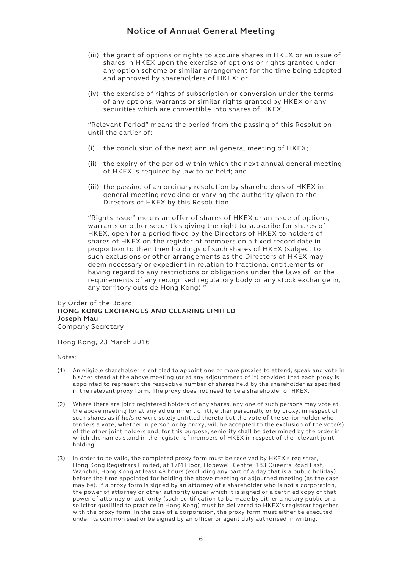- (iii) the grant of options or rights to acquire shares in HKEX or an issue of shares in HKEX upon the exercise of options or rights granted under any option scheme or similar arrangement for the time being adopted and approved by shareholders of HKEX; or
- (iv) the exercise of rights of subscription or conversion under the terms of any options, warrants or similar rights granted by HKEX or any securities which are convertible into shares of HKEX.

"Relevant Period" means the period from the passing of this Resolution until the earlier of:

- (i) the conclusion of the next annual general meeting of HKEX;
- (ii) the expiry of the period within which the next annual general meeting of HKEX is required by law to be held; and
- (iii) the passing of an ordinary resolution by shareholders of HKEX in general meeting revoking or varying the authority given to the Directors of HKEX by this Resolution.

"Rights Issue" means an offer of shares of HKEX or an issue of options, warrants or other securities giving the right to subscribe for shares of HKEX, open for a period fixed by the Directors of HKEX to holders of shares of HKEX on the register of members on a fixed record date in proportion to their then holdings of such shares of HKEX (subject to such exclusions or other arrangements as the Directors of HKEX may deem necessary or expedient in relation to fractional entitlements or having regard to any restrictions or obligations under the laws of, or the requirements of any recognised regulatory body or any stock exchange in, any territory outside Hong Kong)."

#### By Order of the Board **HONG KONG EXCHANGES AND CLEARING LIMITED Joseph Mau** Company Secretary

Hong Kong, 23 March 2016

Notes:

- (1) An eligible shareholder is entitled to appoint one or more proxies to attend, speak and vote in his/her stead at the above meeting (or at any adjournment of it) provided that each proxy is appointed to represent the respective number of shares held by the shareholder as specified in the relevant proxy form. The proxy does not need to be a shareholder of HKEX.
- (2) Where there are joint registered holders of any shares, any one of such persons may vote at the above meeting (or at any adjournment of it), either personally or by proxy, in respect of such shares as if he/she were solely entitled thereto but the vote of the senior holder who tenders a vote, whether in person or by proxy, will be accepted to the exclusion of the vote(s) of the other joint holders and, for this purpose, seniority shall be determined by the order in which the names stand in the register of members of HKEX in respect of the relevant joint holding.
- (3) In order to be valid, the completed proxy form must be received by HKEX's registrar, Hong Kong Registrars Limited, at 17M Floor, Hopewell Centre, 183 Queen's Road East, Wanchai, Hong Kong at least 48 hours (excluding any part of a day that is a public holiday) before the time appointed for holding the above meeting or adjourned meeting (as the case may be). If a proxy form is signed by an attorney of a shareholder who is not a corporation, the power of attorney or other authority under which it is signed or a certified copy of that power of attorney or authority (such certification to be made by either a notary public or a solicitor qualified to practice in Hong Kong) must be delivered to HKEX's registrar together with the proxy form. In the case of a corporation, the proxy form must either be executed under its common seal or be signed by an officer or agent duly authorised in writing.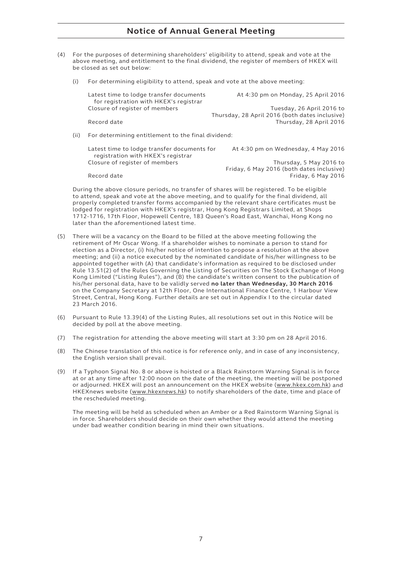# **Notice of Annual General Meeting**

- (4) For the purposes of determining shareholders' eligibility to attend, speak and vote at the above meeting, and entitlement to the final dividend, the register of members of HKEX will be closed as set out below:
	- (i) For determining eligibility to attend, speak and vote at the above meeting:

| Latest time to lodge transfer documents<br>for registration with HKEX's registrar | At 4:30 pm on Monday, 25 April 2016                                         |
|-----------------------------------------------------------------------------------|-----------------------------------------------------------------------------|
| Closure of register of members                                                    | Tuesday, 26 April 2016 to<br>Thursday, 28 April 2016 (both dates inclusive) |
| Record date                                                                       | Thursday, 28 April 2016                                                     |

(ii) For determining entitlement to the final dividend:

| Latest time to lodge transfer documents for | At 4:30 pm on Wednesday, 4 May 2016       |
|---------------------------------------------|-------------------------------------------|
| registration with HKEX's registrar          |                                           |
| Closure of register of members              | Thursday, 5 May 2016 to                   |
|                                             | Friday, 6 May 2016 (both dates inclusive) |
| Record date                                 | Friday, 6 May 2016                        |

During the above closure periods, no transfer of shares will be registered. To be eligible to attend, speak and vote at the above meeting, and to qualify for the final dividend, all properly completed transfer forms accompanied by the relevant share certificates must be lodged for registration with HKEX's registrar, Hong Kong Registrars Limited, at Shops 1712-1716, 17th Floor, Hopewell Centre, 183 Queen's Road East, Wanchai, Hong Kong no later than the aforementioned latest time.

- (5) There will be a vacancy on the Board to be filled at the above meeting following the retirement of Mr Oscar Wong. If a shareholder wishes to nominate a person to stand for election as a Director, (i) his/her notice of intention to propose a resolution at the above meeting; and (ii) a notice executed by the nominated candidate of his/her willingness to be appointed together with (A) that candidate's information as required to be disclosed under Rule 13.51(2) of the Rules Governing the Listing of Securities on The Stock Exchange of Hong Kong Limited ("Listing Rules"), and (B) the candidate's written consent to the publication of his/her personal data, have to be validly served **no later than Wednesday, 30 March 2016** on the Company Secretary at 12th Floor, One International Finance Centre, 1 Harbour View Street, Central, Hong Kong. Further details are set out in Appendix I to the circular dated 23 March 2016.
- (6) Pursuant to Rule 13.39(4) of the Listing Rules, all resolutions set out in this Notice will be decided by poll at the above meeting.
- (7) The registration for attending the above meeting will start at 3:30 pm on 28 April 2016.
- (8) The Chinese translation of this notice is for reference only, and in case of any inconsistency, the English version shall prevail.
- (9) If a Typhoon Signal No. 8 or above is hoisted or a Black Rainstorm Warning Signal is in force at or at any time after 12:00 noon on the date of the meeting, the meeting will be postponed or adjourned. HKEX will post an announcement on the HKEX website (www.hkex.com.hk) and HKEXnews website (www.hkexnews.hk) to notify shareholders of the date, time and place of the rescheduled meeting.

The meeting will be held as scheduled when an Amber or a Red Rainstorm Warning Signal is in force. Shareholders should decide on their own whether they would attend the meeting under bad weather condition bearing in mind their own situations.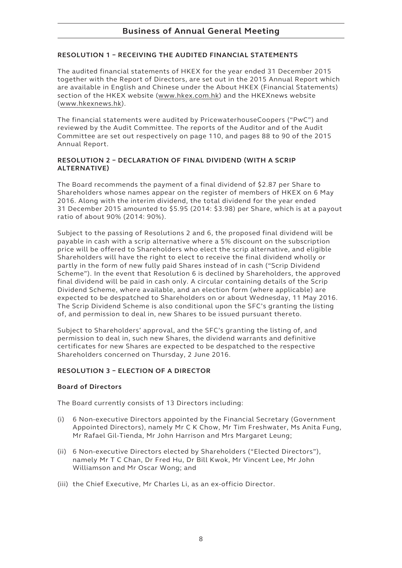#### **RESOLUTION 1 – RECEIVING THE AUDITED FINANCIAL STATEMENTS**

The audited financial statements of HKEX for the year ended 31 December 2015 together with the Report of Directors, are set out in the 2015 Annual Report which are available in English and Chinese under the About HKEX (Financial Statements) section of the HKEX website (www.hkex.com.hk) and the HKEXnews website (www.hkexnews.hk).

The financial statements were audited by PricewaterhouseCoopers ("PwC") and reviewed by the Audit Committee. The reports of the Auditor and of the Audit Committee are set out respectively on page 110, and pages 88 to 90 of the 2015 Annual Report.

#### **RESOLUTION 2 – DECLARATION OF FINAL DIVIDEND (WITH A SCRIP ALTERNATIVE)**

The Board recommends the payment of a final dividend of \$2.87 per Share to Shareholders whose names appear on the register of members of HKEX on 6 May 2016. Along with the interim dividend, the total dividend for the year ended 31 December 2015 amounted to \$5.95 (2014: \$3.98) per Share, which is at a payout ratio of about 90% (2014: 90%).

Subject to the passing of Resolutions 2 and 6, the proposed final dividend will be payable in cash with a scrip alternative where a 5% discount on the subscription price will be offered to Shareholders who elect the scrip alternative, and eligible Shareholders will have the right to elect to receive the final dividend wholly or partly in the form of new fully paid Shares instead of in cash ("Scrip Dividend Scheme"). In the event that Resolution 6 is declined by Shareholders, the approved final dividend will be paid in cash only. A circular containing details of the Scrip Dividend Scheme, where available, and an election form (where applicable) are expected to be despatched to Shareholders on or about Wednesday, 11 May 2016. The Scrip Dividend Scheme is also conditional upon the SFC's granting the listing of, and permission to deal in, new Shares to be issued pursuant thereto.

Subject to Shareholders' approval, and the SFC's granting the listing of, and permission to deal in, such new Shares, the dividend warrants and definitive certificates for new Shares are expected to be despatched to the respective Shareholders concerned on Thursday, 2 June 2016.

#### **RESOLUTION 3 – ELECTION OF A DIRECTOR**

#### **Board of Directors**

The Board currently consists of 13 Directors including:

- (i) 6 Non-executive Directors appointed by the Financial Secretary (Government Appointed Directors), namely Mr C K Chow, Mr Tim Freshwater, Ms Anita Fung, Mr Rafael Gil-Tienda, Mr John Harrison and Mrs Margaret Leung;
- (ii) 6 Non-executive Directors elected by Shareholders ("Elected Directors"), namely Mr T C Chan, Dr Fred Hu, Dr Bill Kwok, Mr Vincent Lee, Mr John Williamson and Mr Oscar Wong; and
- (iii) the Chief Executive, Mr Charles Li, as an ex-officio Director.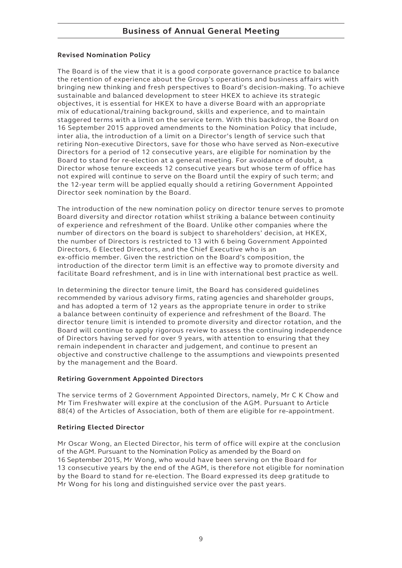#### **Revised Nomination Policy**

The Board is of the view that it is a good corporate governance practice to balance the retention of experience about the Group's operations and business affairs with bringing new thinking and fresh perspectives to Board's decision-making. To achieve sustainable and balanced development to steer HKEX to achieve its strategic objectives, it is essential for HKEX to have a diverse Board with an appropriate mix of educational/training background, skills and experience, and to maintain staggered terms with a limit on the service term. With this backdrop, the Board on 16 September 2015 approved amendments to the Nomination Policy that include, inter alia, the introduction of a limit on a Director's length of service such that retiring Non-executive Directors, save for those who have served as Non-executive Directors for a period of 12 consecutive years, are eligible for nomination by the Board to stand for re-election at a general meeting. For avoidance of doubt, a Director whose tenure exceeds 12 consecutive years but whose term of office has not expired will continue to serve on the Board until the expiry of such term; and the 12-year term will be applied equally should a retiring Government Appointed Director seek nomination by the Board.

The introduction of the new nomination policy on director tenure serves to promote Board diversity and director rotation whilst striking a balance between continuity of experience and refreshment of the Board. Unlike other companies where the number of directors on the board is subject to shareholders' decision, at HKEX, the number of Directors is restricted to 13 with 6 being Government Appointed Directors, 6 Elected Directors, and the Chief Executive who is an ex-officio member. Given the restriction on the Board's composition, the introduction of the director term limit is an effective way to promote diversity and facilitate Board refreshment, and is in line with international best practice as well.

In determining the director tenure limit, the Board has considered guidelines recommended by various advisory firms, rating agencies and shareholder groups, and has adopted a term of 12 years as the appropriate tenure in order to strike a balance between continuity of experience and refreshment of the Board. The director tenure limit is intended to promote diversity and director rotation, and the Board will continue to apply rigorous review to assess the continuing independence of Directors having served for over 9 years, with attention to ensuring that they remain independent in character and judgement, and continue to present an objective and constructive challenge to the assumptions and viewpoints presented by the management and the Board.

### **Retiring Government Appointed Directors**

The service terms of 2 Government Appointed Directors, namely, Mr C K Chow and Mr Tim Freshwater will expire at the conclusion of the AGM. Pursuant to Article 88(4) of the Articles of Association, both of them are eligible for re-appointment.

#### **Retiring Elected Director**

Mr Oscar Wong, an Elected Director, his term of office will expire at the conclusion of the AGM. Pursuant to the Nomination Policy as amended by the Board on 16 September 2015, Mr Wong, who would have been serving on the Board for 13 consecutive years by the end of the AGM, is therefore not eligible for nomination by the Board to stand for re-election. The Board expressed its deep gratitude to Mr Wong for his long and distinguished service over the past years.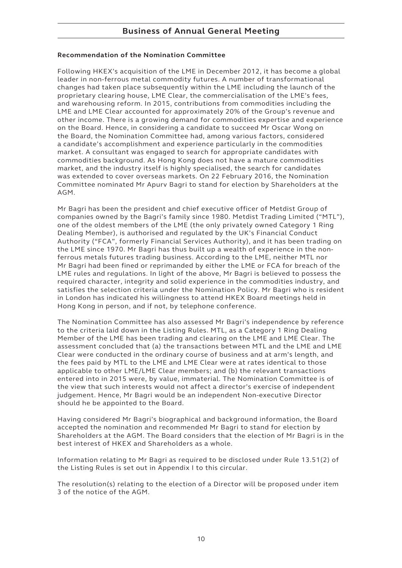# **Business of Annual General Meeting**

#### **Recommendation of the Nomination Committee**

Following HKEX's acquisition of the LME in December 2012, it has become a global leader in non-ferrous metal commodity futures. A number of transformational changes had taken place subsequently within the LME including the launch of the proprietary clearing house, LME Clear, the commercialisation of the LME's fees, and warehousing reform. In 2015, contributions from commodities including the LME and LME Clear accounted for approximately 20% of the Group's revenue and other income. There is a growing demand for commodities expertise and experience on the Board. Hence, in considering a candidate to succeed Mr Oscar Wong on the Board, the Nomination Committee had, among various factors, considered a candidate's accomplishment and experience particularly in the commodities market. A consultant was engaged to search for appropriate candidates with commodities background. As Hong Kong does not have a mature commodities market, and the industry itself is highly specialised, the search for candidates was extended to cover overseas markets. On 22 February 2016, the Nomination Committee nominated Mr Apurv Bagri to stand for election by Shareholders at the AGM.

Mr Bagri has been the president and chief executive officer of Metdist Group of companies owned by the Bagri's family since 1980. Metdist Trading Limited ("MTL"), one of the oldest members of the LME (the only privately owned Category 1 Ring Dealing Member), is authorised and regulated by the UK's Financial Conduct Authority ("FCA", formerly Financial Services Authority), and it has been trading on the LME since 1970. Mr Bagri has thus built up a wealth of experience in the nonferrous metals futures trading business. According to the LME, neither MTL nor Mr Bagri had been fined or reprimanded by either the LME or FCA for breach of the LME rules and regulations. In light of the above, Mr Bagri is believed to possess the required character, integrity and solid experience in the commodities industry, and satisfies the selection criteria under the Nomination Policy. Mr Bagri who is resident in London has indicated his willingness to attend HKEX Board meetings held in Hong Kong in person, and if not, by telephone conference.

The Nomination Committee has also assessed Mr Bagri's independence by reference to the criteria laid down in the Listing Rules. MTL, as a Category 1 Ring Dealing Member of the LME has been trading and clearing on the LME and LME Clear. The assessment concluded that (a) the transactions between MTL and the LME and LME Clear were conducted in the ordinary course of business and at arm's length, and the fees paid by MTL to the LME and LME Clear were at rates identical to those applicable to other LME/LME Clear members; and (b) the relevant transactions entered into in 2015 were, by value, immaterial. The Nomination Committee is of the view that such interests would not affect a director's exercise of independent judgement. Hence, Mr Bagri would be an independent Non-executive Director should he be appointed to the Board.

Having considered Mr Bagri's biographical and background information, the Board accepted the nomination and recommended Mr Bagri to stand for election by Shareholders at the AGM. The Board considers that the election of Mr Bagri is in the best interest of HKEX and Shareholders as a whole.

Information relating to Mr Bagri as required to be disclosed under Rule 13.51(2) of the Listing Rules is set out in Appendix I to this circular.

The resolution(s) relating to the election of a Director will be proposed under item 3 of the notice of the AGM.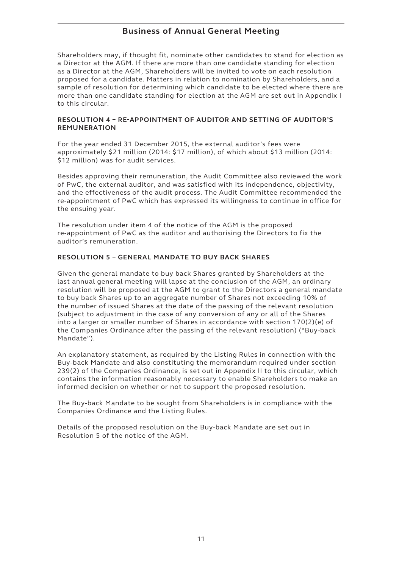# **Business of Annual General Meeting**

Shareholders may, if thought fit, nominate other candidates to stand for election as a Director at the AGM. If there are more than one candidate standing for election as a Director at the AGM, Shareholders will be invited to vote on each resolution proposed for a candidate. Matters in relation to nomination by Shareholders, and a sample of resolution for determining which candidate to be elected where there are more than one candidate standing for election at the AGM are set out in Appendix I to this circular.

#### **RESOLUTION 4 – RE-APPOINTMENT OF AUDITOR AND SETTING OF AUDITOR'S REMUNERATION**

For the year ended 31 December 2015, the external auditor's fees were approximately \$21 million (2014: \$17 million), of which about \$13 million (2014: \$12 million) was for audit services.

Besides approving their remuneration, the Audit Committee also reviewed the work of PwC, the external auditor, and was satisfied with its independence, objectivity, and the effectiveness of the audit process. The Audit Committee recommended the re-appointment of PwC which has expressed its willingness to continue in office for the ensuing year.

The resolution under item 4 of the notice of the AGM is the proposed re-appointment of PwC as the auditor and authorising the Directors to fix the auditor's remuneration.

#### **RESOLUTION 5 – GENERAL MANDATE TO BUY BACK SHARES**

Given the general mandate to buy back Shares granted by Shareholders at the last annual general meeting will lapse at the conclusion of the AGM, an ordinary resolution will be proposed at the AGM to grant to the Directors a general mandate to buy back Shares up to an aggregate number of Shares not exceeding 10% of the number of issued Shares at the date of the passing of the relevant resolution (subject to adjustment in the case of any conversion of any or all of the Shares into a larger or smaller number of Shares in accordance with section 170(2)(e) of the Companies Ordinance after the passing of the relevant resolution) ("Buy-back Mandate").

An explanatory statement, as required by the Listing Rules in connection with the Buy-back Mandate and also constituting the memorandum required under section 239(2) of the Companies Ordinance, is set out in Appendix II to this circular, which contains the information reasonably necessary to enable Shareholders to make an informed decision on whether or not to support the proposed resolution.

The Buy-back Mandate to be sought from Shareholders is in compliance with the Companies Ordinance and the Listing Rules.

Details of the proposed resolution on the Buy-back Mandate are set out in Resolution 5 of the notice of the AGM.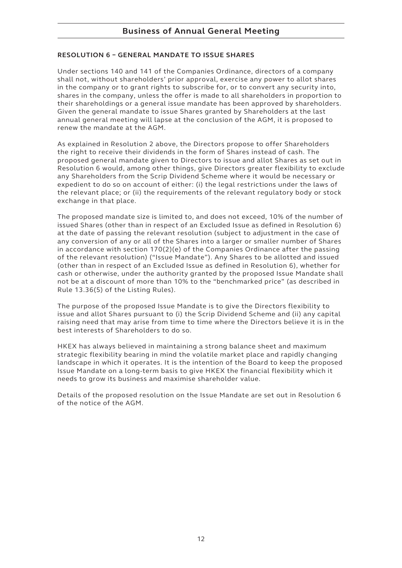#### **RESOLUTION 6 – GENERAL MANDATE TO ISSUE SHARES**

Under sections 140 and 141 of the Companies Ordinance, directors of a company shall not, without shareholders' prior approval, exercise any power to allot shares in the company or to grant rights to subscribe for, or to convert any security into, shares in the company, unless the offer is made to all shareholders in proportion to their shareholdings or a general issue mandate has been approved by shareholders. Given the general mandate to issue Shares granted by Shareholders at the last annual general meeting will lapse at the conclusion of the AGM, it is proposed to renew the mandate at the AGM.

As explained in Resolution 2 above, the Directors propose to offer Shareholders the right to receive their dividends in the form of Shares instead of cash. The proposed general mandate given to Directors to issue and allot Shares as set out in Resolution 6 would, among other things, give Directors greater flexibility to exclude any Shareholders from the Scrip Dividend Scheme where it would be necessary or expedient to do so on account of either: (i) the legal restrictions under the laws of the relevant place; or (ii) the requirements of the relevant regulatory body or stock exchange in that place.

The proposed mandate size is limited to, and does not exceed, 10% of the number of issued Shares (other than in respect of an Excluded Issue as defined in Resolution 6) at the date of passing the relevant resolution (subject to adjustment in the case of any conversion of any or all of the Shares into a larger or smaller number of Shares in accordance with section 170(2)(e) of the Companies Ordinance after the passing of the relevant resolution) ("Issue Mandate"). Any Shares to be allotted and issued (other than in respect of an Excluded Issue as defined in Resolution 6), whether for cash or otherwise, under the authority granted by the proposed Issue Mandate shall not be at a discount of more than 10% to the "benchmarked price" (as described in Rule 13.36(5) of the Listing Rules).

The purpose of the proposed Issue Mandate is to give the Directors flexibility to issue and allot Shares pursuant to (i) the Scrip Dividend Scheme and (ii) any capital raising need that may arise from time to time where the Directors believe it is in the best interests of Shareholders to do so.

HKEX has always believed in maintaining a strong balance sheet and maximum strategic flexibility bearing in mind the volatile market place and rapidly changing landscape in which it operates. It is the intention of the Board to keep the proposed Issue Mandate on a long-term basis to give HKEX the financial flexibility which it needs to grow its business and maximise shareholder value.

Details of the proposed resolution on the Issue Mandate are set out in Resolution 6 of the notice of the AGM.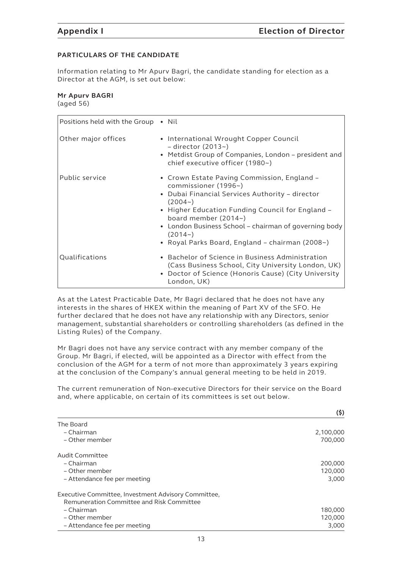**(\$)**

### **PARTICULARS OF THE CANDIDATE**

Information relating to Mr Apurv Bagri, the candidate standing for election as a Director at the AGM, is set out below:

#### **Mr Apurv BAGRI** (aged 56)

| Positions held with the Group • Nil |                                                                                                                                                                                                                                                                                                                                          |
|-------------------------------------|------------------------------------------------------------------------------------------------------------------------------------------------------------------------------------------------------------------------------------------------------------------------------------------------------------------------------------------|
| Other major offices                 | • International Wrought Copper Council<br>- director $(2013-)$<br>• Metdist Group of Companies, London - president and<br>chief executive officer (1980~)                                                                                                                                                                                |
| Public service                      | • Crown Estate Paving Commission, England –<br>commissioner (1996~)<br>• Dubai Financial Services Authority - director<br>$(2004-)$<br>• Higher Education Funding Council for England -<br>board member (2014~)<br>• London Business School – chairman of governing body<br>$(2014-)$<br>• Royal Parks Board, England - chairman (2008~) |
| Qualifications                      | • Bachelor of Science in Business Administration<br>(Cass Business School, City University London, UK)<br>• Doctor of Science (Honoris Cause) (City University<br>London, UK)                                                                                                                                                            |

As at the Latest Practicable Date, Mr Bagri declared that he does not have any interests in the shares of HKEX within the meaning of Part XV of the SFO. He further declared that he does not have any relationship with any Directors, senior management, substantial shareholders or controlling shareholders (as defined in the Listing Rules) of the Company.

Mr Bagri does not have any service contract with any member company of the Group. Mr Bagri, if elected, will be appointed as a Director with effect from the conclusion of the AGM for a term of not more than approximately 3 years expiring at the conclusion of the Company's annual general meeting to be held in 2019.

The current remuneration of Non-executive Directors for their service on the Board and, where applicable, on certain of its committees is set out below.

|                                                     | (Ş)       |
|-----------------------------------------------------|-----------|
| The Board                                           |           |
| – Chairman                                          | 2,100,000 |
| – Other member                                      | 700,000   |
| Audit Committee                                     |           |
| – Chairman                                          | 200,000   |
| - Other member                                      | 120,000   |
| - Attendance fee per meeting                        | 3,000     |
| Executive Committee, Investment Advisory Committee, |           |
| Remuneration Committee and Risk Committee           |           |
| – Chairman                                          | 180,000   |
| - Other member                                      | 120,000   |
| – Attendance fee per meeting                        | 3.000     |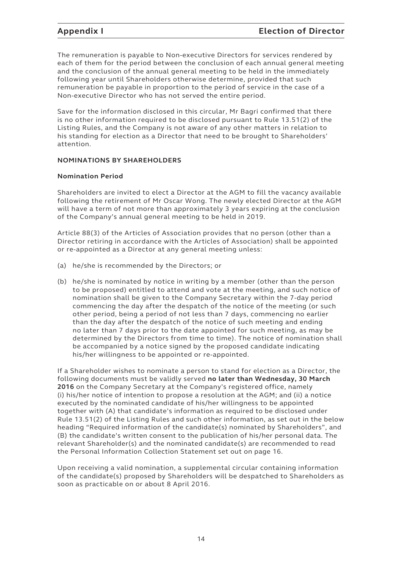The remuneration is payable to Non-executive Directors for services rendered by each of them for the period between the conclusion of each annual general meeting and the conclusion of the annual general meeting to be held in the immediately following year until Shareholders otherwise determine, provided that such remuneration be payable in proportion to the period of service in the case of a Non-executive Director who has not served the entire period.

Save for the information disclosed in this circular, Mr Bagri confirmed that there is no other information required to be disclosed pursuant to Rule 13.51(2) of the Listing Rules, and the Company is not aware of any other matters in relation to his standing for election as a Director that need to be brought to Shareholders' attention.

#### **NOMINATIONS BY SHAREHOLDERS**

#### **Nomination Period**

Shareholders are invited to elect a Director at the AGM to fill the vacancy available following the retirement of Mr Oscar Wong. The newly elected Director at the AGM will have a term of not more than approximately 3 years expiring at the conclusion of the Company's annual general meeting to be held in 2019.

Article 88(3) of the Articles of Association provides that no person (other than a Director retiring in accordance with the Articles of Association) shall be appointed or re-appointed as a Director at any general meeting unless:

- (a) he/she is recommended by the Directors; or
- (b) he/she is nominated by notice in writing by a member (other than the person to be proposed) entitled to attend and vote at the meeting, and such notice of nomination shall be given to the Company Secretary within the 7-day period commencing the day after the despatch of the notice of the meeting (or such other period, being a period of not less than 7 days, commencing no earlier than the day after the despatch of the notice of such meeting and ending no later than 7 days prior to the date appointed for such meeting, as may be determined by the Directors from time to time). The notice of nomination shall be accompanied by a notice signed by the proposed candidate indicating his/her willingness to be appointed or re-appointed.

If a Shareholder wishes to nominate a person to stand for election as a Director, the following documents must be validly served **no later than Wednesday, 30 March 2016** on the Company Secretary at the Company's registered office, namely (i) his/her notice of intention to propose a resolution at the AGM; and (ii) a notice executed by the nominated candidate of his/her willingness to be appointed together with (A) that candidate's information as required to be disclosed under Rule 13.51(2) of the Listing Rules and such other information, as set out in the below heading "Required information of the candidate(s) nominated by Shareholders", and (B) the candidate's written consent to the publication of his/her personal data. The relevant Shareholder(s) and the nominated candidate(s) are recommended to read the Personal Information Collection Statement set out on page 16.

Upon receiving a valid nomination, a supplemental circular containing information of the candidate(s) proposed by Shareholders will be despatched to Shareholders as soon as practicable on or about 8 April 2016.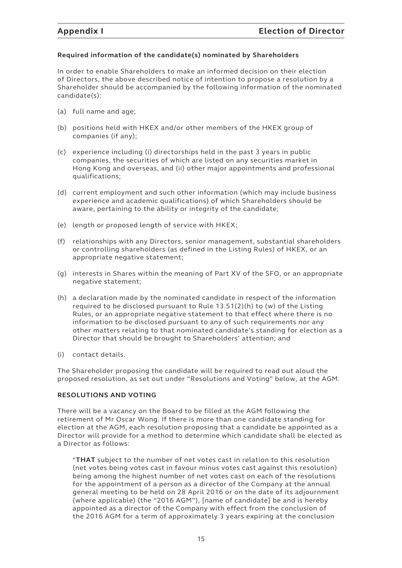#### **Required information of the candidate(s) nominated by Shareholders**

In order to enable Shareholders to make an informed decision on their election of Directors, the above described notice of intention to propose a resolution by a Shareholder should be accompanied by the following information of the nominated candidate(s):

- (a) full name and age;
- (b) positions held with HKEX and/or other members of the HKEX group of companies (if any);
- (c) experience including (i) directorships held in the past 3 years in public companies, the securities of which are listed on any securities market in Hong Kong and overseas, and (ii) other major appointments and professional qualifications;
- (d) current employment and such other information (which may include business experience and academic qualifications) of which Shareholders should be aware, pertaining to the ability or integrity of the candidate;
- (e) length or proposed length of service with HKEX;
- (f) relationships with any Directors, senior management, substantial shareholders or controlling shareholders (as defined in the Listing Rules) of HKEX, or an appropriate negative statement;
- (g) interests in Shares within the meaning of Part XV of the SFO, or an appropriate negative statement;
- (h) a declaration made by the nominated candidate in respect of the information required to be disclosed pursuant to Rule 13.51(2)(h) to (w) of the Listing Rules, or an appropriate negative statement to that effect where there is no information to be disclosed pursuant to any of such requirements nor any other matters relating to that nominated candidate's standing for election as a Director that should be brought to Shareholders' attention; and
- (i) contact details.

The Shareholder proposing the candidate will be required to read out aloud the proposed resolution, as set out under "Resolutions and Voting" below, at the AGM.

#### **RESOLUTIONS AND VOTING**

There will be a vacancy on the Board to be filled at the AGM following the retirement of Mr Oscar Wong. If there is more than one candidate standing for election at the AGM, each resolution proposing that a candidate be appointed as a Director will provide for a method to determine which candidate shall be elected as a Director as follows:

"**THAT** subject to the number of net votes cast in relation to this resolution (net votes being votes cast in favour minus votes cast against this resolution) being among the highest number of net votes cast on each of the resolutions for the appointment of a person as a director of the Company at the annual general meeting to be held on 28 April 2016 or on the date of its adjournment (where applicable) (the "2016 AGM"), [name of candidate] be and is hereby appointed as a director of the Company with effect from the conclusion of the 2016 AGM for a term of approximately 3 years expiring at the conclusion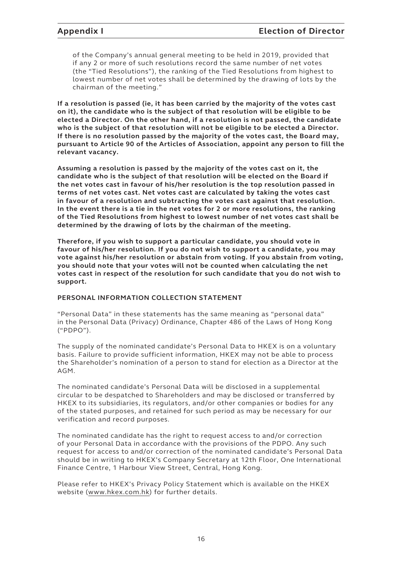of the Company's annual general meeting to be held in 2019, provided that if any 2 or more of such resolutions record the same number of net votes (the "Tied Resolutions"), the ranking of the Tied Resolutions from highest to lowest number of net votes shall be determined by the drawing of lots by the chairman of the meeting."

**If a resolution is passed (ie, it has been carried by the majority of the votes cast on it), the candidate who is the subject of that resolution will be eligible to be elected a Director. On the other hand, if a resolution is not passed, the candidate who is the subject of that resolution will not be eligible to be elected a Director. If there is no resolution passed by the majority of the votes cast, the Board may, pursuant to Article 90 of the Articles of Association, appoint any person to fill the relevant vacancy.**

**Assuming a resolution is passed by the majority of the votes cast on it, the candidate who is the subject of that resolution will be elected on the Board if the net votes cast in favour of his/her resolution is the top resolution passed in terms of net votes cast. Net votes cast are calculated by taking the votes cast in favour of a resolution and subtracting the votes cast against that resolution. In the event there is a tie in the net votes for 2 or more resolutions, the ranking of the Tied Resolutions from highest to lowest number of net votes cast shall be determined by the drawing of lots by the chairman of the meeting.**

**Therefore, if you wish to support a particular candidate, you should vote in favour of his/her resolution. If you do not wish to support a candidate, you may vote against his/her resolution or abstain from voting. If you abstain from voting, you should note that your votes will not be counted when calculating the net votes cast in respect of the resolution for such candidate that you do not wish to support.**

#### **PERSONAL INFORMATION COLLECTION STATEMENT**

"Personal Data" in these statements has the same meaning as "personal data" in the Personal Data (Privacy) Ordinance, Chapter 486 of the Laws of Hong Kong ("PDPO").

The supply of the nominated candidate's Personal Data to HKEX is on a voluntary basis. Failure to provide sufficient information, HKEX may not be able to process the Shareholder's nomination of a person to stand for election as a Director at the AGM.

The nominated candidate's Personal Data will be disclosed in a supplemental circular to be despatched to Shareholders and may be disclosed or transferred by HKEX to its subsidiaries, its regulators, and/or other companies or bodies for any of the stated purposes, and retained for such period as may be necessary for our verification and record purposes.

The nominated candidate has the right to request access to and/or correction of your Personal Data in accordance with the provisions of the PDPO. Any such request for access to and/or correction of the nominated candidate's Personal Data should be in writing to HKEX's Company Secretary at 12th Floor, One International Finance Centre, 1 Harbour View Street, Central, Hong Kong.

Please refer to HKEX's Privacy Policy Statement which is available on the HKEX website (www.hkex.com.hk) for further details.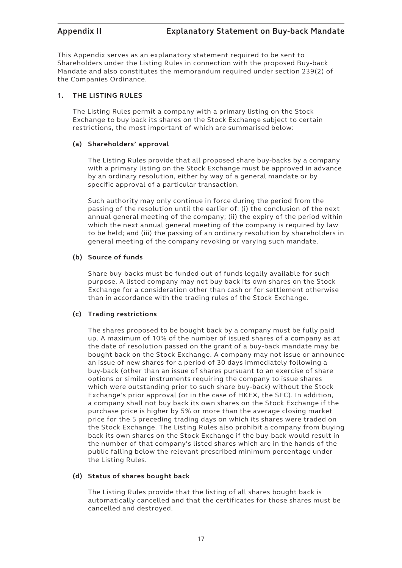This Appendix serves as an explanatory statement required to be sent to Shareholders under the Listing Rules in connection with the proposed Buy-back Mandate and also constitutes the memorandum required under section 239(2) of the Companies Ordinance.

#### **1. THE LISTING RULES**

The Listing Rules permit a company with a primary listing on the Stock Exchange to buy back its shares on the Stock Exchange subject to certain restrictions, the most important of which are summarised below:

#### **(a) Shareholders' approval**

The Listing Rules provide that all proposed share buy-backs by a company with a primary listing on the Stock Exchange must be approved in advance by an ordinary resolution, either by way of a general mandate or by specific approval of a particular transaction.

Such authority may only continue in force during the period from the passing of the resolution until the earlier of: (i) the conclusion of the next annual general meeting of the company; (ii) the expiry of the period within which the next annual general meeting of the company is required by law to be held; and (iii) the passing of an ordinary resolution by shareholders in general meeting of the company revoking or varying such mandate.

### **(b) Source of funds**

Share buy-backs must be funded out of funds legally available for such purpose. A listed company may not buy back its own shares on the Stock Exchange for a consideration other than cash or for settlement otherwise than in accordance with the trading rules of the Stock Exchange.

#### **(c) Trading restrictions**

The shares proposed to be bought back by a company must be fully paid up. A maximum of 10% of the number of issued shares of a company as at the date of resolution passed on the grant of a buy-back mandate may be bought back on the Stock Exchange. A company may not issue or announce an issue of new shares for a period of 30 days immediately following a buy-back (other than an issue of shares pursuant to an exercise of share options or similar instruments requiring the company to issue shares which were outstanding prior to such share buy-back) without the Stock Exchange's prior approval (or in the case of HKEX, the SFC). In addition, a company shall not buy back its own shares on the Stock Exchange if the purchase price is higher by 5% or more than the average closing market price for the 5 preceding trading days on which its shares were traded on the Stock Exchange. The Listing Rules also prohibit a company from buying back its own shares on the Stock Exchange if the buy-back would result in the number of that company's listed shares which are in the hands of the public falling below the relevant prescribed minimum percentage under the Listing Rules.

#### **(d) Status of shares bought back**

The Listing Rules provide that the listing of all shares bought back is automatically cancelled and that the certificates for those shares must be cancelled and destroyed.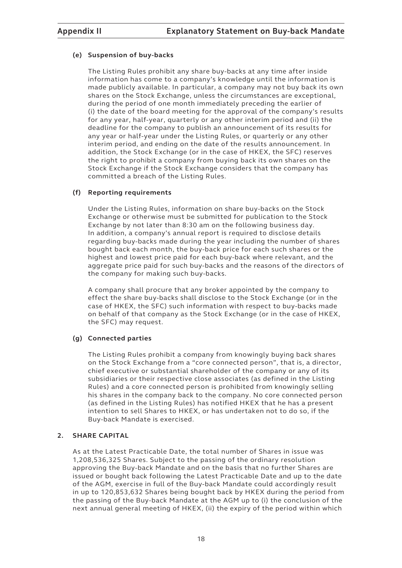#### **(e) Suspension of buy-backs**

The Listing Rules prohibit any share buy-backs at any time after inside information has come to a company's knowledge until the information is made publicly available. In particular, a company may not buy back its own shares on the Stock Exchange, unless the circumstances are exceptional, during the period of one month immediately preceding the earlier of (i) the date of the board meeting for the approval of the company's results for any year, half-year, quarterly or any other interim period and (ii) the deadline for the company to publish an announcement of its results for any year or half-year under the Listing Rules, or quarterly or any other interim period, and ending on the date of the results announcement. In addition, the Stock Exchange (or in the case of HKEX, the SFC) reserves the right to prohibit a company from buying back its own shares on the Stock Exchange if the Stock Exchange considers that the company has committed a breach of the Listing Rules.

#### **(f) Reporting requirements**

Under the Listing Rules, information on share buy-backs on the Stock Exchange or otherwise must be submitted for publication to the Stock Exchange by not later than 8:30 am on the following business day. In addition, a company's annual report is required to disclose details regarding buy-backs made during the year including the number of shares bought back each month, the buy-back price for each such shares or the highest and lowest price paid for each buy-back where relevant, and the aggregate price paid for such buy-backs and the reasons of the directors of the company for making such buy-backs.

A company shall procure that any broker appointed by the company to effect the share buy-backs shall disclose to the Stock Exchange (or in the case of HKEX, the SFC) such information with respect to buy-backs made on behalf of that company as the Stock Exchange (or in the case of HKEX, the SFC) may request.

#### **(g) Connected parties**

The Listing Rules prohibit a company from knowingly buying back shares on the Stock Exchange from a "core connected person", that is, a director, chief executive or substantial shareholder of the company or any of its subsidiaries or their respective close associates (as defined in the Listing Rules) and a core connected person is prohibited from knowingly selling his shares in the company back to the company. No core connected person (as defined in the Listing Rules) has notified HKEX that he has a present intention to sell Shares to HKEX, or has undertaken not to do so, if the Buy-back Mandate is exercised.

#### **2. SHARE CAPITAL**

As at the Latest Practicable Date, the total number of Shares in issue was 1,208,536,325 Shares. Subject to the passing of the ordinary resolution approving the Buy-back Mandate and on the basis that no further Shares are issued or bought back following the Latest Practicable Date and up to the date of the AGM, exercise in full of the Buy-back Mandate could accordingly result in up to 120,853,632 Shares being bought back by HKEX during the period from the passing of the Buy-back Mandate at the AGM up to (i) the conclusion of the next annual general meeting of HKEX, (ii) the expiry of the period within which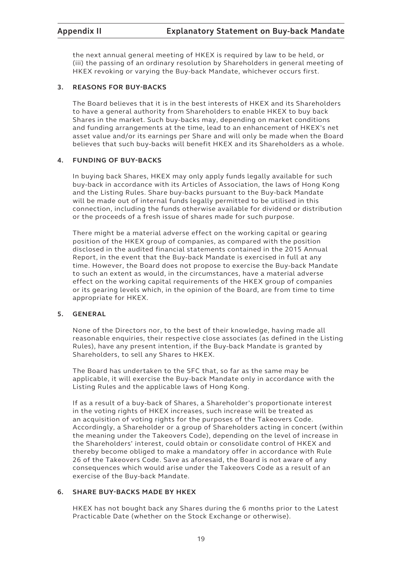the next annual general meeting of HKEX is required by law to be held, or (iii) the passing of an ordinary resolution by Shareholders in general meeting of HKEX revoking or varying the Buy-back Mandate, whichever occurs first.

#### **3. REASONS FOR BUY-BACKS**

The Board believes that it is in the best interests of HKEX and its Shareholders to have a general authority from Shareholders to enable HKEX to buy back Shares in the market. Such buy-backs may, depending on market conditions and funding arrangements at the time, lead to an enhancement of HKEX's net asset value and/or its earnings per Share and will only be made when the Board believes that such buy-backs will benefit HKEX and its Shareholders as a whole.

#### **4. FUNDING OF BUY-BACKS**

In buying back Shares, HKEX may only apply funds legally available for such buy-back in accordance with its Articles of Association, the laws of Hong Kong and the Listing Rules. Share buy-backs pursuant to the Buy-back Mandate will be made out of internal funds legally permitted to be utilised in this connection, including the funds otherwise available for dividend or distribution or the proceeds of a fresh issue of shares made for such purpose.

There might be a material adverse effect on the working capital or gearing position of the HKEX group of companies, as compared with the position disclosed in the audited financial statements contained in the 2015 Annual Report, in the event that the Buy-back Mandate is exercised in full at any time. However, the Board does not propose to exercise the Buy-back Mandate to such an extent as would, in the circumstances, have a material adverse effect on the working capital requirements of the HKEX group of companies or its gearing levels which, in the opinion of the Board, are from time to time appropriate for HKEX.

### **5. GENERAL**

None of the Directors nor, to the best of their knowledge, having made all reasonable enquiries, their respective close associates (as defined in the Listing Rules), have any present intention, if the Buy-back Mandate is granted by Shareholders, to sell any Shares to HKEX.

The Board has undertaken to the SFC that, so far as the same may be applicable, it will exercise the Buy-back Mandate only in accordance with the Listing Rules and the applicable laws of Hong Kong.

If as a result of a buy-back of Shares, a Shareholder's proportionate interest in the voting rights of HKEX increases, such increase will be treated as an acquisition of voting rights for the purposes of the Takeovers Code. Accordingly, a Shareholder or a group of Shareholders acting in concert (within the meaning under the Takeovers Code), depending on the level of increase in the Shareholders' interest, could obtain or consolidate control of HKEX and thereby become obliged to make a mandatory offer in accordance with Rule 26 of the Takeovers Code. Save as aforesaid, the Board is not aware of any consequences which would arise under the Takeovers Code as a result of an exercise of the Buy-back Mandate.

### **6. SHARE BUY-BACKS MADE BY HKEX**

HKEX has not bought back any Shares during the 6 months prior to the Latest Practicable Date (whether on the Stock Exchange or otherwise).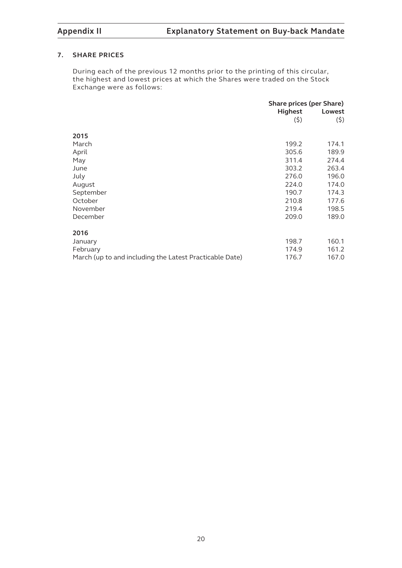#### **7. SHARE PRICES**

During each of the previous 12 months prior to the printing of this circular, the highest and lowest prices at which the Shares were traded on the Stock Exchange were as follows:

|                                                         | Share prices (per Share) |        |
|---------------------------------------------------------|--------------------------|--------|
|                                                         | <b>Highest</b>           | Lowest |
|                                                         | (5)                      | (5)    |
| 2015                                                    |                          |        |
|                                                         |                          |        |
| March                                                   | 199.2                    | 174.1  |
| April                                                   | 305.6                    | 189.9  |
| May                                                     | 311.4                    | 274.4  |
| June                                                    | 303.2                    | 263.4  |
| July                                                    | 276.0                    | 196.0  |
| August                                                  | 224.0                    | 174.0  |
| September                                               | 190.7                    | 174.3  |
| October                                                 | 210.8                    | 177.6  |
| November                                                | 219.4                    | 198.5  |
| December                                                | 209.0                    | 189.0  |
| 2016                                                    |                          |        |
| January                                                 | 198.7                    | 160.1  |
| February                                                | 174.9                    | 161.2  |
| March (up to and including the Latest Practicable Date) | 176.7                    | 167.0  |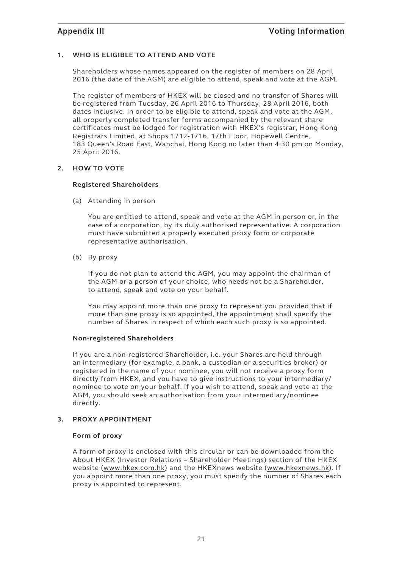#### **1. WHO IS ELIGIBLE TO ATTEND AND VOTE**

Shareholders whose names appeared on the register of members on 28 April 2016 (the date of the AGM) are eligible to attend, speak and vote at the AGM.

The register of members of HKEX will be closed and no transfer of Shares will be registered from Tuesday, 26 April 2016 to Thursday, 28 April 2016, both dates inclusive. In order to be eligible to attend, speak and vote at the AGM, all properly completed transfer forms accompanied by the relevant share certificates must be lodged for registration with HKEX's registrar, Hong Kong Registrars Limited, at Shops 1712-1716, 17th Floor, Hopewell Centre, 183 Queen's Road East, Wanchai, Hong Kong no later than 4:30 pm on Monday, 25 April 2016.

#### **2. HOW TO VOTE**

#### **Registered Shareholders**

(a) Attending in person

You are entitled to attend, speak and vote at the AGM in person or, in the case of a corporation, by its duly authorised representative. A corporation must have submitted a properly executed proxy form or corporate representative authorisation.

(b) By proxy

If you do not plan to attend the AGM, you may appoint the chairman of the AGM or a person of your choice, who needs not be a Shareholder, to attend, speak and vote on your behalf.

You may appoint more than one proxy to represent you provided that if more than one proxy is so appointed, the appointment shall specify the number of Shares in respect of which each such proxy is so appointed.

#### **Non-registered Shareholders**

If you are a non-registered Shareholder, i.e. your Shares are held through an intermediary (for example, a bank, a custodian or a securities broker) or registered in the name of your nominee, you will not receive a proxy form directly from HKEX, and you have to give instructions to your intermediary/ nominee to vote on your behalf. If you wish to attend, speak and vote at the AGM, you should seek an authorisation from your intermediary/nominee directly.

#### **3. PROXY APPOINTMENT**

#### **Form of proxy**

A form of proxy is enclosed with this circular or can be downloaded from the About HKEX (Investor Relations – Shareholder Meetings) section of the HKEX website (www.hkex.com.hk) and the HKEXnews website (www.hkexnews.hk). If you appoint more than one proxy, you must specify the number of Shares each proxy is appointed to represent.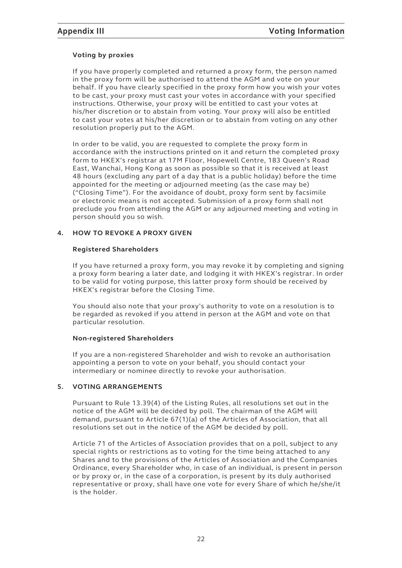### **Voting by proxies**

If you have properly completed and returned a proxy form, the person named in the proxy form will be authorised to attend the AGM and vote on your behalf. If you have clearly specified in the proxy form how you wish your votes to be cast, your proxy must cast your votes in accordance with your specified instructions. Otherwise, your proxy will be entitled to cast your votes at his/her discretion or to abstain from voting. Your proxy will also be entitled to cast your votes at his/her discretion or to abstain from voting on any other resolution properly put to the AGM.

In order to be valid, you are requested to complete the proxy form in accordance with the instructions printed on it and return the completed proxy form to HKEX's registrar at 17M Floor, Hopewell Centre, 183 Queen's Road East, Wanchai, Hong Kong as soon as possible so that it is received at least 48 hours (excluding any part of a day that is a public holiday) before the time appointed for the meeting or adjourned meeting (as the case may be) ("Closing Time"). For the avoidance of doubt, proxy form sent by facsimile or electronic means is not accepted. Submission of a proxy form shall not preclude you from attending the AGM or any adjourned meeting and voting in person should you so wish.

#### **4. HOW TO REVOKE A PROXY GIVEN**

#### **Registered Shareholders**

If you have returned a proxy form, you may revoke it by completing and signing a proxy form bearing a later date, and lodging it with HKEX's registrar. In order to be valid for voting purpose, this latter proxy form should be received by HKEX's registrar before the Closing Time.

You should also note that your proxy's authority to vote on a resolution is to be regarded as revoked if you attend in person at the AGM and vote on that particular resolution.

#### **Non-registered Shareholders**

If you are a non-registered Shareholder and wish to revoke an authorisation appointing a person to vote on your behalf, you should contact your intermediary or nominee directly to revoke your authorisation.

### **5. VOTING ARRANGEMENTS**

Pursuant to Rule 13.39(4) of the Listing Rules, all resolutions set out in the notice of the AGM will be decided by poll. The chairman of the AGM will demand, pursuant to Article 67(1)(a) of the Articles of Association, that all resolutions set out in the notice of the AGM be decided by poll.

Article 71 of the Articles of Association provides that on a poll, subject to any special rights or restrictions as to voting for the time being attached to any Shares and to the provisions of the Articles of Association and the Companies Ordinance, every Shareholder who, in case of an individual, is present in person or by proxy or, in the case of a corporation, is present by its duly authorised representative or proxy, shall have one vote for every Share of which he/she/it is the holder.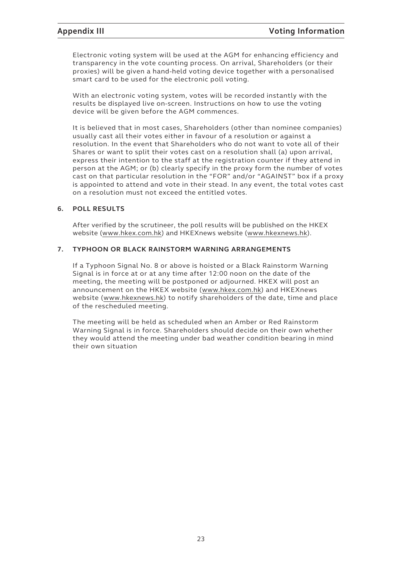Electronic voting system will be used at the AGM for enhancing efficiency and transparency in the vote counting process. On arrival, Shareholders (or their proxies) will be given a hand-held voting device together with a personalised smart card to be used for the electronic poll voting.

With an electronic voting system, votes will be recorded instantly with the results be displayed live on-screen. Instructions on how to use the voting device will be given before the AGM commences.

It is believed that in most cases, Shareholders (other than nominee companies) usually cast all their votes either in favour of a resolution or against a resolution. In the event that Shareholders who do not want to vote all of their Shares or want to split their votes cast on a resolution shall (a) upon arrival, express their intention to the staff at the registration counter if they attend in person at the AGM; or (b) clearly specify in the proxy form the number of votes cast on that particular resolution in the "FOR" and/or "AGAINST" box if a proxy is appointed to attend and vote in their stead. In any event, the total votes cast on a resolution must not exceed the entitled votes.

#### **6. POLL RESULTS**

After verified by the scrutineer, the poll results will be published on the HKEX website (www.hkex.com.hk) and HKEXnews website (www.hkexnews.hk).

#### **7. TYPHOON OR BLACK RAINSTORM WARNING ARRANGEMENTS**

If a Typhoon Signal No. 8 or above is hoisted or a Black Rainstorm Warning Signal is in force at or at any time after 12:00 noon on the date of the meeting, the meeting will be postponed or adjourned. HKEX will post an announcement on the HKEX website (www.hkex.com.hk) and HKEXnews website (www.hkexnews.hk) to notify shareholders of the date, time and place of the rescheduled meeting.

The meeting will be held as scheduled when an Amber or Red Rainstorm Warning Signal is in force. Shareholders should decide on their own whether they would attend the meeting under bad weather condition bearing in mind their own situation